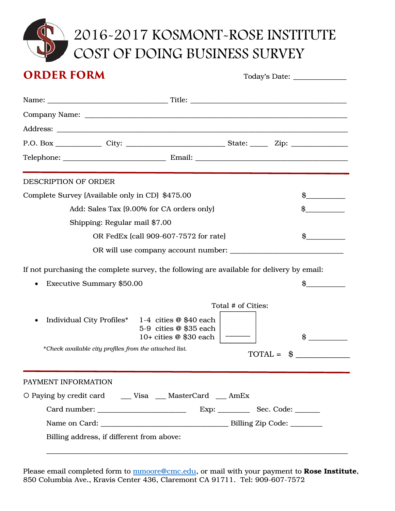## 2016-2017 KOSMONT-ROSE INSTITUTE COST OF DOING BUSINESS SURVEY

## **ORDER FORM** Today's Date: \_\_\_\_\_\_\_\_\_\_\_\_\_\_\_

| <b>DESCRIPTION OF ORDER</b>                                                                                |                                                      |                    |                          |
|------------------------------------------------------------------------------------------------------------|------------------------------------------------------|--------------------|--------------------------|
| Complete Survey (Available only in CD) \$475.00                                                            |                                                      |                    | $\mathbf{\$}$            |
| Add: Sales Tax (9.00% for CA orders only)                                                                  |                                                      | $^{\circ}$         |                          |
| Shipping: Regular mail \$7.00                                                                              |                                                      |                    |                          |
| OR FedEx (call 909-607-7572 for rate)                                                                      |                                                      |                    | \$                       |
|                                                                                                            | OR will use company account number:                  |                    |                          |
| If not purchasing the complete survey, the following are available for delivery by email:                  |                                                      |                    |                          |
| <b>Executive Summary \$50.00</b>                                                                           |                                                      | \$                 |                          |
| Individual City Profiles* 1-4 cities @ \$40 each<br>*Check available city profiles from the attached list. | 5-9 cities @ \$35 each<br>$10+$ cities $@$ \$30 each | Total # of Cities: | $\bullet$<br>$TOTAL = $$ |
| PAYMENT INFORMATION                                                                                        |                                                      |                    |                          |
| O Paying by credit card ______ Visa _____ MasterCard _____ AmEx                                            |                                                      |                    |                          |
|                                                                                                            |                                                      |                    |                          |
|                                                                                                            |                                                      |                    |                          |
| Billing address, if different from above:                                                                  |                                                      |                    |                          |

Please email completed form to **mmoore@cmc.edu**, or mail with your payment to **Rose Institute**, 850 Columbia Ave., Kravis Center 436, Claremont CA 91711. Tel: 909-607-7572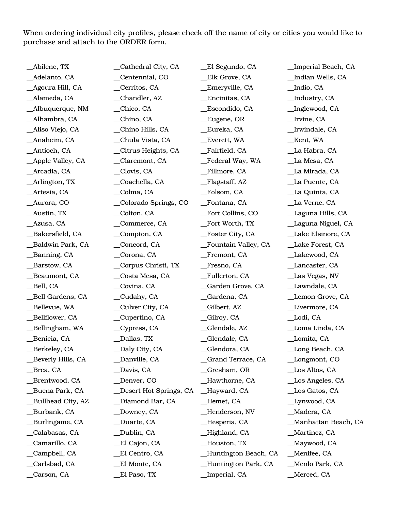When ordering individual city profiles, please check off the name of city or cities you would like to purchase and attach to the ORDER form.

\_\_Abilene, TX \_\_Cathedral City, CA \_\_El Segundo, CA \_\_Imperial Beach, CA \_\_Adelanto, CA \_\_Centennial, CO \_\_Elk Grove, CA \_\_Indian Wells, CA \_\_Agoura Hill, CA \_\_Cerritos, CA \_\_Emeryville, CA \_\_Indio, CA \_\_Alameda, CA \_\_Chandler, AZ \_\_Encinitas, CA \_\_Industry, CA \_\_Albuquerque, NM \_\_Chico, CA \_\_Escondido, CA \_\_Inglewood, CA \_\_Alhambra, CA \_\_Chino, CA \_\_Eugene, OR \_\_Irvine, CA \_\_Aliso Viejo, CA \_\_Chino Hills, CA \_\_Eureka, CA \_\_Irwindale, CA \_\_Anaheim, CA \_\_Chula Vista, CA \_\_Everett, WA \_\_Kent, WA \_\_Antioch, CA \_\_Citrus Heights, CA \_\_Fairfield, CA \_\_La Habra, CA \_\_Apple Valley, CA \_\_Claremont, CA \_\_Federal Way, WA \_\_La Mesa, CA \_\_Arcadia, CA \_\_Clovis, CA \_\_Fillmore, CA \_\_La Mirada, CA \_\_Arlington, TX \_\_Coachella, CA \_\_Flagstaff, AZ \_\_La Puente, CA \_\_Artesia, CA \_\_Colma, CA \_\_Folsom, CA \_\_La Quinta, CA \_\_Aurora, CO \_\_Colorado Springs, CO \_\_Fontana, CA \_\_La Verne, CA \_\_Austin, TX \_\_Colton, CA \_\_Fort Collins, CO \_\_Laguna Hills, CA \_\_Azusa, CA \_\_Commerce, CA \_\_Fort Worth, TX \_\_Laguna Niguel, CA \_\_Bakersfield, CA \_\_Compton, CA \_\_Foster City, CA \_\_Lake Elsinore, CA \_\_Baldwin Park, CA \_\_Concord, CA \_\_Fountain Valley, CA \_\_Lake Forest, CA \_\_Banning, CA \_\_Corona, CA \_\_Fremont, CA \_\_Lakewood, CA \_\_Barstow, CA \_\_Corpus Christi, TX \_\_Fresno, CA \_\_Lancaster, CA \_\_Beaumont, CA \_\_Costa Mesa, CA \_\_Fullerton, CA \_\_Las Vegas, NV \_\_Bell, CA \_\_Covina, CA \_\_Garden Grove, CA \_\_Lawndale, CA \_\_Bell Gardens, CA \_\_Cudahy, CA \_\_Gardena, CA \_\_Lemon Grove, CA \_\_Bellevue, WA \_\_Culver City, CA \_\_Gilbert, AZ \_\_Livermore, CA \_\_Bellflower, CA \_\_Cupertino, CA \_\_Gilroy, CA \_\_Lodi, CA \_\_Bellingham, WA \_\_Cypress, CA \_\_Glendale, AZ \_\_Loma Linda, CA \_\_Benicia, CA \_\_Dallas, TX \_\_Glendale, CA \_\_Lomita, CA \_\_Berkeley, CA \_\_Daly City, CA \_\_Glendora, CA \_\_Long Beach, CA \_\_Beverly Hills, CA \_\_Danville, CA \_\_Grand Terrace, CA \_\_Longmont, CO \_\_Brea, CA \_\_Davis, CA \_\_Gresham, OR \_\_Los Altos, CA \_\_Brentwood, CA \_\_Denver, CO \_\_Hawthorne, CA \_\_Los Angeles, CA \_\_Buena Park, CA \_\_Desert Hot Springs, CA \_\_Hayward, CA \_\_Los Gatos, CA \_\_Bullhead City, AZ \_\_Diamond Bar, CA \_\_Hemet, CA \_\_Lynwood, CA \_Burbank, CA \_\_\_\_\_\_\_\_\_\_\_Downey, CA \_\_\_\_\_\_\_\_\_\_\_Henderson, NV \_\_\_\_\_\_\_\_Madera, CA \_\_Burlingame, CA \_\_Duarte, CA \_\_Hesperia, CA \_\_Manhattan Beach, CA \_\_Calabasas, CA \_\_Dublin, CA \_\_Highland, CA \_\_Martinez, CA \_\_Camarillo, CA \_\_El Cajon, CA \_\_Houston, TX \_\_Maywood, CA \_\_Campbell, CA \_\_El Centro, CA \_\_Huntington Beach, CA \_\_Menifee, CA \_\_Carlsbad, CA \_\_El Monte, CA \_\_Huntington Park, CA \_\_Menlo Park, CA \_\_Carson, CA \_\_El Paso, TX \_\_Imperial, CA \_\_Merced, CA